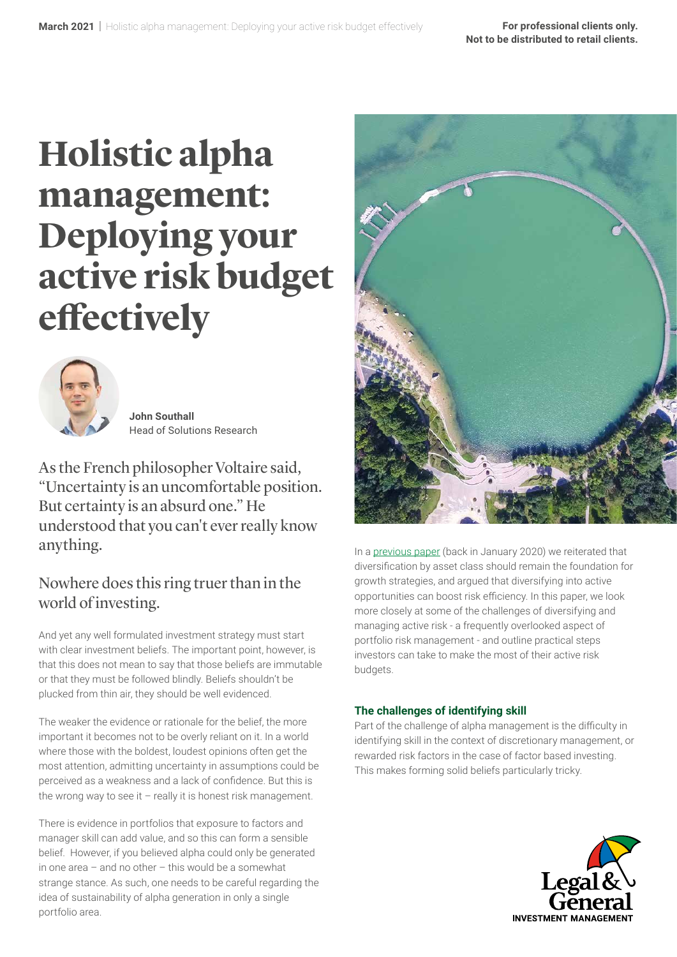# **Holistic alpha management: Deploying your active risk budget effectively**



**John Southall** Head of Solutions Research

As the French philosopher Voltaire said, "Uncertainty is an uncomfortable position. But certainty is an absurd one." He understood that you can't ever really know anything.

## Nowhere does this ring truer than in the world of investing.

And yet any well formulated investment strategy must start with clear investment beliefs. The important point, however, is that this does not mean to say that those beliefs are immutable or that they must be followed blindly. Beliefs shouldn't be plucked from thin air, they should be well evidenced.

The weaker the evidence or rationale for the belief, the more important it becomes not to be overly reliant on it. In a world where those with the boldest, loudest opinions often get the most attention, admitting uncertainty in assumptions could be perceived as a weakness and a lack of confidence. But this is the wrong way to see it  $-$  really it is honest risk management.

There is evidence in portfolios that exposure to factors and manager skill can add value, and so this can form a sensible belief. However, if you believed alpha could only be generated in one area – and no other – this would be a somewhat strange stance. As such, one needs to be careful regarding the idea of sustainability of alpha generation in only a single portfolio area.



In a [previous paper](https://www.lgim.com/uk/en/insights/our-thinking/client-solutions/actively-diversified/) (back in January 2020) we reiterated that diversification by asset class should remain the foundation for growth strategies, and argued that diversifying into active opportunities can boost risk efficiency. In this paper, we look more closely at some of the challenges of diversifying and managing active risk - a frequently overlooked aspect of portfolio risk management - and outline practical steps investors can take to make the most of their active risk budgets.

### **The challenges of identifying skill**

Part of the challenge of alpha management is the difficulty in identifying skill in the context of discretionary management, or rewarded risk factors in the case of factor based investing. This makes forming solid beliefs particularly tricky.

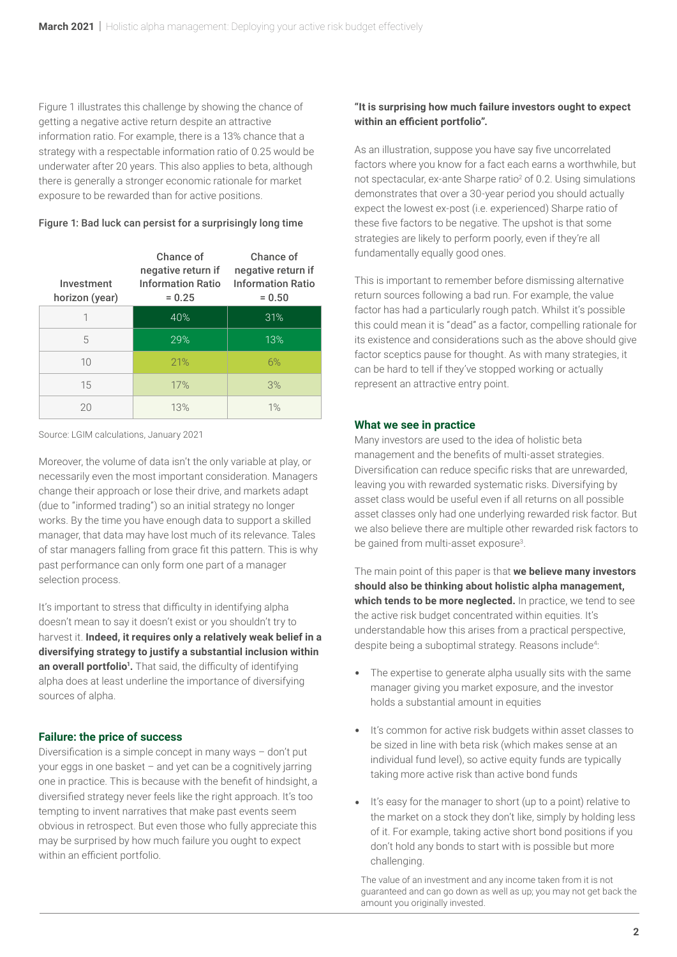Figure 1 illustrates this challenge by showing the chance of getting a negative active return despite an attractive information ratio. For example, there is a 13% chance that a strategy with a respectable information ratio of 0.25 would be underwater after 20 years. This also applies to beta, although there is generally a stronger economic rationale for market exposure to be rewarded than for active positions.

#### Figure 1: Bad luck can persist for a surprisingly long time

| Investment<br>horizon (year) | Chance of<br>negative return if<br><b>Information Ratio</b><br>$= 0.25$ | Chance of<br>negative return if<br><b>Information Ratio</b><br>$= 0.50$ |
|------------------------------|-------------------------------------------------------------------------|-------------------------------------------------------------------------|
| 1                            | 40%                                                                     | 31%                                                                     |
| 5                            | 29%                                                                     | 13%                                                                     |
| 10                           | 21%                                                                     | 6%                                                                      |
| 15                           | 17%                                                                     | 3%                                                                      |
| 20                           | 13%                                                                     | 1%                                                                      |

Source: LGIM calculations, January 2021

Moreover, the volume of data isn't the only variable at play, or necessarily even the most important consideration. Managers change their approach or lose their drive, and markets adapt (due to "informed trading") so an initial strategy no longer works. By the time you have enough data to support a skilled manager, that data may have lost much of its relevance. Tales of star managers falling from grace fit this pattern. This is why past performance can only form one part of a manager selection process.

It's important to stress that difficulty in identifying alpha doesn't mean to say it doesn't exist or you shouldn't try to harvest it. **Indeed, it requires only a relatively weak belief in a diversifying strategy to justify a substantial inclusion within**  an overall portfolio<sup>1</sup>. That said, the difficulty of identifying alpha does at least underline the importance of diversifying sources of alpha.

### **Failure: the price of success**

Diversification is a simple concept in many ways – don't put your eggs in one basket – and yet can be a cognitively jarring one in practice. This is because with the benefit of hindsight, a diversified strategy never feels like the right approach. It's too tempting to invent narratives that make past events seem obvious in retrospect. But even those who fully appreciate this may be surprised by how much failure you ought to expect within an efficient portfolio.

### **"It is surprising how much failure investors ought to expect within an efficient portfolio".**

As an illustration, suppose you have say five uncorrelated factors where you know for a fact each earns a worthwhile, but not spectacular, ex-ante Sharpe ratio<sup>2</sup> of 0.2. Using simulations demonstrates that over a 30-year period you should actually expect the lowest ex-post (i.e. experienced) Sharpe ratio of these five factors to be negative. The upshot is that some strategies are likely to perform poorly, even if they're all fundamentally equally good ones.

This is important to remember before dismissing alternative return sources following a bad run. For example, the value factor has had a particularly rough patch. Whilst it's possible this could mean it is "dead" as a factor, compelling rationale for its existence and considerations such as the above should give factor sceptics pause for thought. As with many strategies, it can be hard to tell if they've stopped working or actually represent an attractive entry point.

#### **What we see in practice**

Many investors are used to the idea of holistic beta management and the benefits of multi-asset strategies. Diversification can reduce specific risks that are unrewarded, leaving you with rewarded systematic risks. Diversifying by asset class would be useful even if all returns on all possible asset classes only had one underlying rewarded risk factor. But we also believe there are multiple other rewarded risk factors to be gained from multi-asset exposure<sup>3</sup>.

The main point of this paper is that **we believe many investors should also be thinking about holistic alpha management, which tends to be more neglected.** In practice, we tend to see the active risk budget concentrated within equities. It's understandable how this arises from a practical perspective, despite being a suboptimal strategy. Reasons include<sup>4</sup>:

- The expertise to generate alpha usually sits with the same manager giving you market exposure, and the investor holds a substantial amount in equities
- It's common for active risk budgets within asset classes to be sized in line with beta risk (which makes sense at an individual fund level), so active equity funds are typically taking more active risk than active bond funds
- It's easy for the manager to short (up to a point) relative to the market on a stock they don't like, simply by holding less of it. For example, taking active short bond positions if you don't hold any bonds to start with is possible but more challenging.

The value of an investment and any income taken from it is not guaranteed and can go down as well as up; you may not get back the amount you originally invested.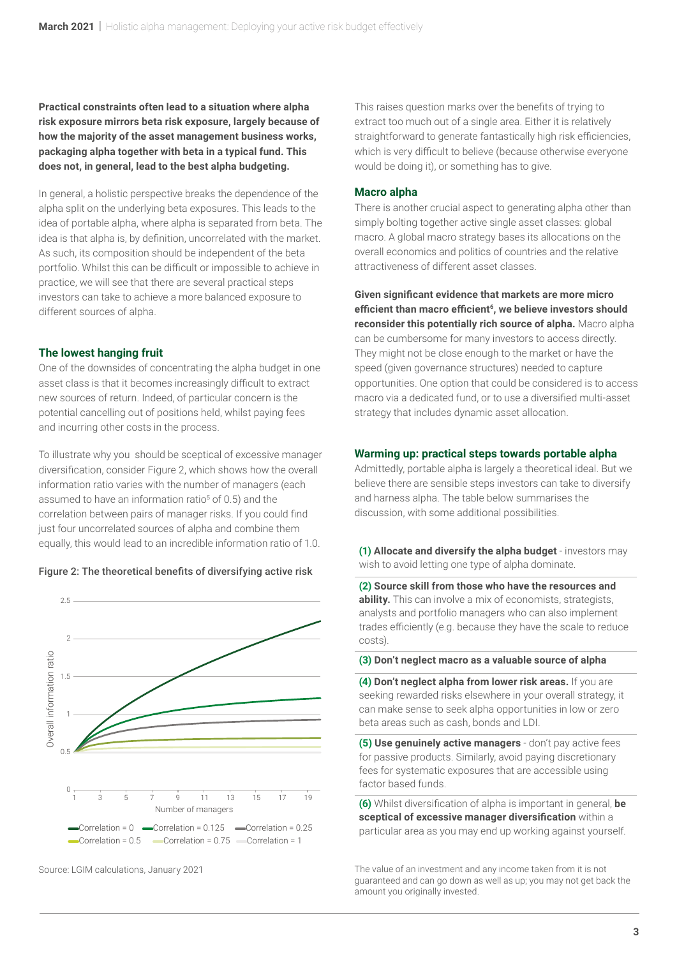**Practical constraints often lead to a situation where alpha risk exposure mirrors beta risk exposure, largely because of how the majority of the asset management business works, packaging alpha together with beta in a typical fund. This does not, in general, lead to the best alpha budgeting.** 

In general, a holistic perspective breaks the dependence of the alpha split on the underlying beta exposures. This leads to the idea of portable alpha, where alpha is separated from beta. The idea is that alpha is, by definition, uncorrelated with the market. As such, its composition should be independent of the beta portfolio. Whilst this can be difficult or impossible to achieve in practice, we will see that there are several practical steps investors can take to achieve a more balanced exposure to different sources of alpha.

#### **The lowest hanging fruit**

One of the downsides of concentrating the alpha budget in one asset class is that it becomes increasingly difficult to extract new sources of return. Indeed, of particular concern is the potential cancelling out of positions held, whilst paying fees and incurring other costs in the process.

To illustrate why you should be sceptical of excessive manager diversification, consider Figure 2, which shows how the overall information ratio varies with the number of managers (each assumed to have an information ratio<sup>5</sup> of 0.5) and the correlation between pairs of manager risks. If you could find just four uncorrelated sources of alpha and combine them equally, this would lead to an incredible information ratio of 1.0.





Source: LGIM calculations, January 2021

This raises question marks over the benefits of trying to extract too much out of a single area. Either it is relatively straightforward to generate fantastically high risk efficiencies, which is very difficult to believe (because otherwise everyone would be doing it), or something has to give.

#### **Macro alpha**

There is another crucial aspect to generating alpha other than simply bolting together active single asset classes: global macro. A global macro strategy bases its allocations on the overall economics and politics of countries and the relative attractiveness of different asset classes.

**Given significant evidence that markets are more micro efficient than macro efficient6, we believe investors should reconsider this potentially rich source of alpha.** Macro alpha can be cumbersome for many investors to access directly. They might not be close enough to the market or have the speed (given governance structures) needed to capture opportunities. One option that could be considered is to access macro via a dedicated fund, or to use a diversified multi-asset strategy that includes dynamic asset allocation.

#### **Warming up: practical steps towards portable alpha**

Admittedly, portable alpha is largely a theoretical ideal. But we believe there are sensible steps investors can take to diversify and harness alpha. The table below summarises the discussion, with some additional possibilities.

**(1) Allocate and diversify the alpha budget** - investors may wish to avoid letting one type of alpha dominate.

**(2) Source skill from those who have the resources and ability.** This can involve a mix of economists, strategists, analysts and portfolio managers who can also implement trades efficiently (e.g. because they have the scale to reduce costs).

#### **(3) Don't neglect macro as a valuable source of alpha**

**(4) Don't neglect alpha from lower risk areas.** If you are seeking rewarded risks elsewhere in your overall strategy, it can make sense to seek alpha opportunities in low or zero beta areas such as cash, bonds and LDI.

**(5) Use genuinely active managers** - don't pay active fees for passive products. Similarly, avoid paying discretionary fees for systematic exposures that are accessible using factor based funds.

**(6)** Whilst diversification of alpha is important in general, **be sceptical of excessive manager diversification** within a particular area as you may end up working against yourself.

The value of an investment and any income taken from it is not guaranteed and can go down as well as up; you may not get back the amount you originally invested.